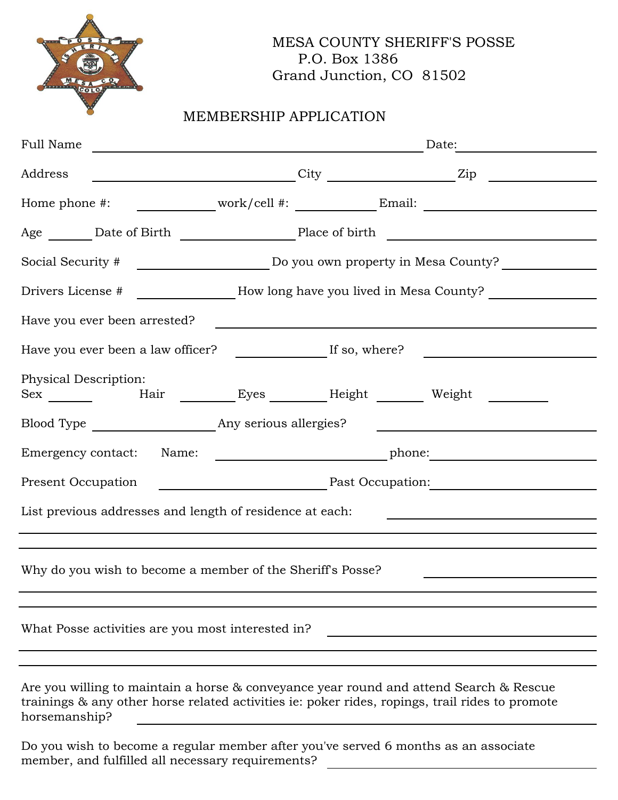

## MESA COUNTY SHERIFF'S POSSE P.O. Box 1386 Grand Junction, CO 81502

## MEMBERSHIP APPLICATION

| Full Name                                                                                                                                                                                 | Date:                                                                                                                |  |                                                                                                      |  |
|-------------------------------------------------------------------------------------------------------------------------------------------------------------------------------------------|----------------------------------------------------------------------------------------------------------------------|--|------------------------------------------------------------------------------------------------------|--|
| Address                                                                                                                                                                                   |                                                                                                                      |  | $\overbrace{\phantom{xxxxx}}$ City $\overbrace{\phantom{xxxxx}}$ Zip                                 |  |
|                                                                                                                                                                                           |                                                                                                                      |  | Home phone #: ______________work/cell #: __________________Email: ______________                     |  |
|                                                                                                                                                                                           |                                                                                                                      |  |                                                                                                      |  |
|                                                                                                                                                                                           |                                                                                                                      |  |                                                                                                      |  |
|                                                                                                                                                                                           | Drivers License # _______________How long have you lived in Mesa County? ______________                              |  |                                                                                                      |  |
| Have you ever been arrested?                                                                                                                                                              | <u> 1980 - Jan Stein Stein Stein Stein Stein Stein Stein Stein Stein Stein Stein Stein Stein Stein Stein Stein S</u> |  |                                                                                                      |  |
|                                                                                                                                                                                           |                                                                                                                      |  | Have you ever been a law officer? _______________________If so, where? _____________________________ |  |
| Physical Description:<br>Sex _________  Hair _________Eyes ________Height __________ Weight                                                                                               |                                                                                                                      |  |                                                                                                      |  |
|                                                                                                                                                                                           |                                                                                                                      |  | <u> 1989 - Johann Barbara, martxa eta idazlea (h. 1989).</u>                                         |  |
| Emergency contact: Name:                                                                                                                                                                  |                                                                                                                      |  |                                                                                                      |  |
| Present Occupation                                                                                                                                                                        |                                                                                                                      |  |                                                                                                      |  |
| List previous addresses and length of residence at each:                                                                                                                                  |                                                                                                                      |  |                                                                                                      |  |
|                                                                                                                                                                                           |                                                                                                                      |  |                                                                                                      |  |
| Why do you wish to become a member of the Sheriff's Posse?                                                                                                                                |                                                                                                                      |  |                                                                                                      |  |
|                                                                                                                                                                                           |                                                                                                                      |  |                                                                                                      |  |
| What Posse activities are you most interested in?                                                                                                                                         |                                                                                                                      |  |                                                                                                      |  |
|                                                                                                                                                                                           |                                                                                                                      |  |                                                                                                      |  |
| Are you willing to maintain a horse & conveyance year round and attend Search & Rescue<br>trainings & any other horse related activities ie: poker rides, ropings, trail rides to promote |                                                                                                                      |  |                                                                                                      |  |

horsemanship?

Do you wish to become a regular member after you've served 6 months as an associate member, and fulfilled all necessary requirements?